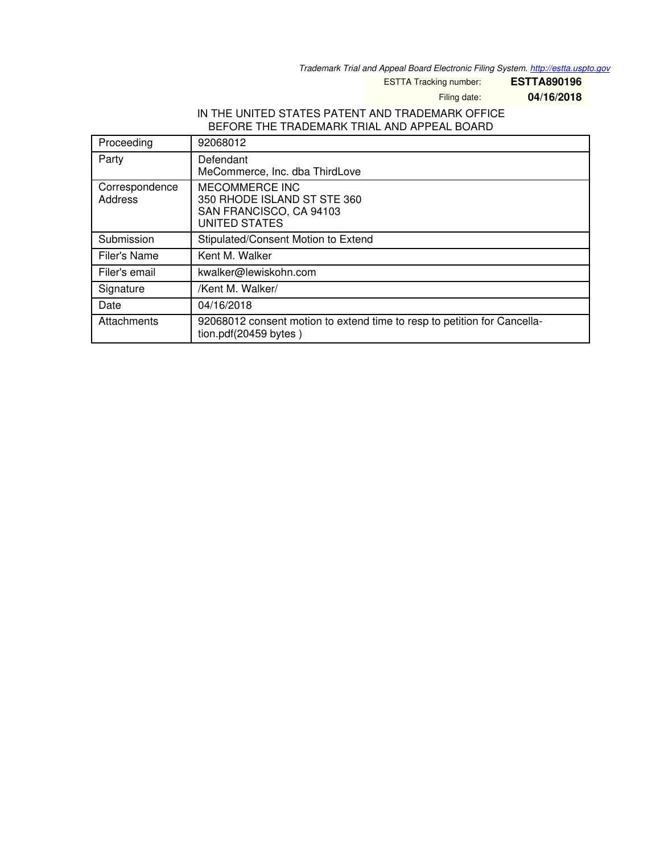*Trademark Trial and Appeal Board Electronic Filing System. <http://estta.uspto.gov>*

ESTTA Tracking number: **ESTTA890196**

Filing date: **04/16/2018**

## IN THE UNITED STATES PATENT AND TRADEMARK OFFICE BEFORE THE TRADEMARK TRIAL AND APPEAL BOARD

| Proceeding                | 92068012                                                                                                |
|---------------------------|---------------------------------------------------------------------------------------------------------|
| Party                     | Defendant<br>MeCommerce, Inc. dba ThirdLove                                                             |
| Correspondence<br>Address | <b>MECOMMERCE INC</b><br>350 RHODE ISLAND ST STE 360<br>SAN FRANCISCO, CA 94103<br><b>UNITED STATES</b> |
| Submission                | Stipulated/Consent Motion to Extend                                                                     |
| Filer's Name              | Kent M. Walker                                                                                          |
| Filer's email             | kwalker@lewiskohn.com                                                                                   |
| Signature                 | /Kent M. Walker/                                                                                        |
| Date                      | 04/16/2018                                                                                              |
| Attachments               | 92068012 consent motion to extend time to resp to petition for Cancella-<br>tion.pdf(20459 bytes)       |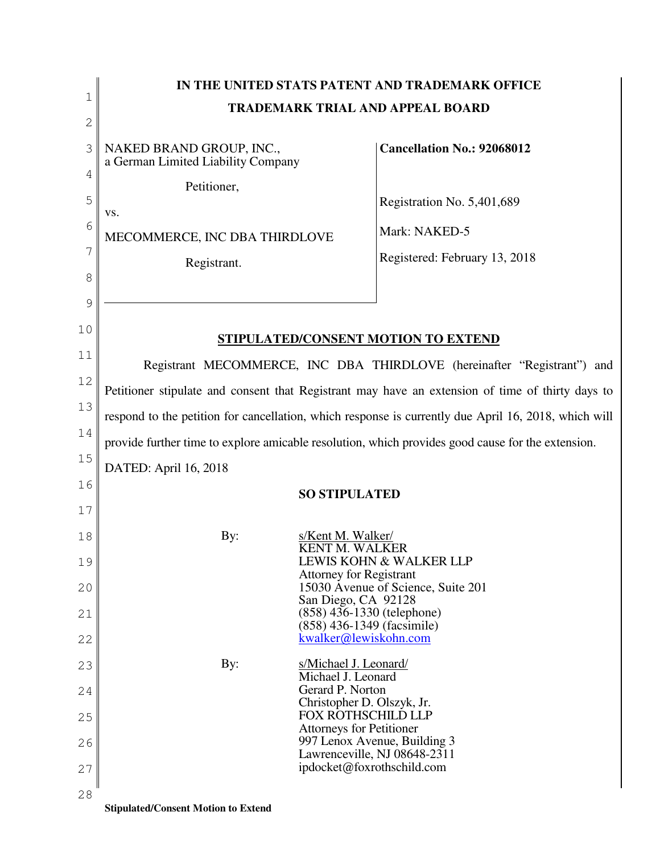|              | IN THE UNITED STATS PATENT AND TRADEMARK OFFICE                                                      |                                                                 |                                                                         |  |  |
|--------------|------------------------------------------------------------------------------------------------------|-----------------------------------------------------------------|-------------------------------------------------------------------------|--|--|
| 1            | <b>TRADEMARK TRIAL AND APPEAL BOARD</b>                                                              |                                                                 |                                                                         |  |  |
| $\mathbf{2}$ |                                                                                                      |                                                                 |                                                                         |  |  |
| 3            | NAKED BRAND GROUP, INC.,<br>a German Limited Liability Company                                       |                                                                 | <b>Cancellation No.: 92068012</b>                                       |  |  |
| 4            | Petitioner,                                                                                          |                                                                 |                                                                         |  |  |
| 5            | VS.                                                                                                  |                                                                 | Registration No. 5,401,689                                              |  |  |
| 6            | MECOMMERCE, INC DBA THIRDLOVE                                                                        |                                                                 | Mark: NAKED-5                                                           |  |  |
| 7            |                                                                                                      |                                                                 | Registered: February 13, 2018                                           |  |  |
| 8            | Registrant.                                                                                          |                                                                 |                                                                         |  |  |
| 9            |                                                                                                      |                                                                 |                                                                         |  |  |
| 10           |                                                                                                      |                                                                 |                                                                         |  |  |
|              |                                                                                                      |                                                                 | <b>STIPULATED/CONSENT MOTION TO EXTEND</b>                              |  |  |
| 11           |                                                                                                      |                                                                 | Registrant MECOMMERCE, INC DBA THIRDLOVE (hereinafter "Registrant") and |  |  |
| 12           | Petitioner stipulate and consent that Registrant may have an extension of time of thirty days to     |                                                                 |                                                                         |  |  |
| 13           | respond to the petition for cancellation, which response is currently due April 16, 2018, which will |                                                                 |                                                                         |  |  |
| 14           | provide further time to explore amicable resolution, which provides good cause for the extension.    |                                                                 |                                                                         |  |  |
| 15           | DATED: April 16, 2018                                                                                |                                                                 |                                                                         |  |  |
| 16           |                                                                                                      |                                                                 |                                                                         |  |  |
| 17           |                                                                                                      | <b>SO STIPULATED</b>                                            |                                                                         |  |  |
| 18           | By:                                                                                                  | s/Kent M. Walker/                                               |                                                                         |  |  |
|              |                                                                                                      | <b>KENT M. WALKER</b>                                           |                                                                         |  |  |
| 19           |                                                                                                      | <b>Attorney for Registrant</b>                                  | LEWIS KOHN & WALKER LLP                                                 |  |  |
| 20           |                                                                                                      | San Diego, CA 92128                                             | 15030 Avenue of Science, Suite 201                                      |  |  |
| 21           |                                                                                                      | $(858)$ 436-1330 (telephone)<br>(858) 436-1349 (facsimile)      |                                                                         |  |  |
| 22           |                                                                                                      | kwalker@lewiskohn.com                                           |                                                                         |  |  |
| 23           | By:                                                                                                  | s/Michael J. Leonard/                                           |                                                                         |  |  |
| 24           |                                                                                                      | Michael J. Leonard<br>Gerard P. Norton                          |                                                                         |  |  |
| 25           |                                                                                                      | Christopher D. Olszyk, Jr.<br><b>FOX ROTHSCHILD LLP</b>         |                                                                         |  |  |
| 26           |                                                                                                      | <b>Attorneys for Petitioner</b><br>997 Lenox Avenue, Building 3 |                                                                         |  |  |
|              |                                                                                                      | Lawrenceville, NJ 08648-2311                                    |                                                                         |  |  |
| 27           |                                                                                                      | ipdocket@foxrothschild.com                                      |                                                                         |  |  |
| 28           |                                                                                                      |                                                                 |                                                                         |  |  |